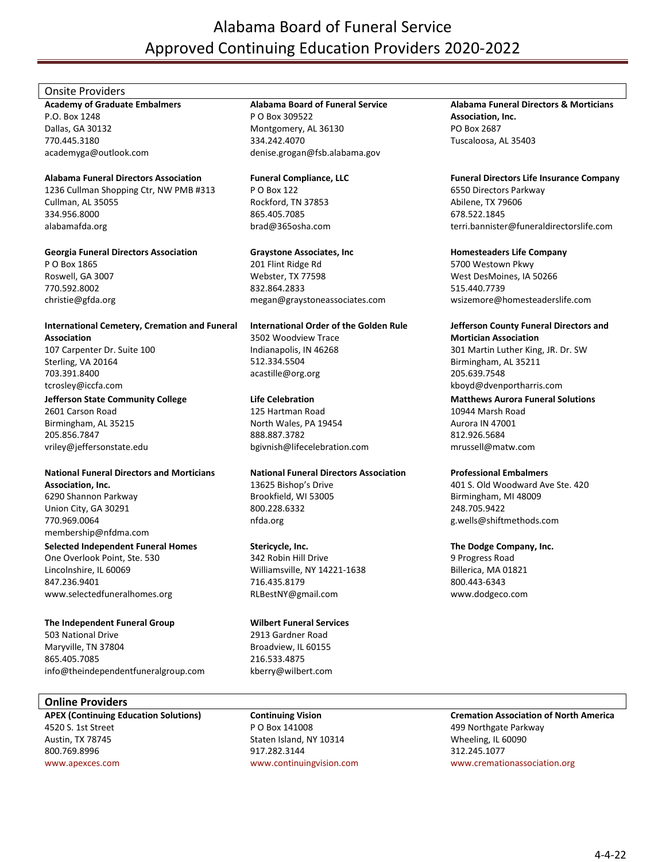# Alabama Board of Funeral Service Approved Continuing Education Providers 2020-2022

# Onsite Providers

**Academy of Graduate Embalmers** P.O. Box 1248 Dallas, GA 30132 770.445.3180 academyga@outlook.com

# **Alabama Funeral Directors Association**

1236 Cullman Shopping Ctr, NW PMB #313 Cullman, AL 35055 334.956.8000 alabamafda.org

## **Georgia Funeral Directors Association**

P O Box 1865 Roswell, GA 3007 770.592.8002 christie@gfda.org

**International Cemetery, Cremation and Funeral Association** 107 Carpenter Dr. Suite 100 Sterling, VA 20164

703.391.8400 tcrosley@iccfa.com

## **Jefferson State Community College**

2601 Carson Road Birmingham, AL 35215 205.856.7847 vriley@jeffersonstate.edu

# **National Funeral Directors and Morticians Association, Inc.**

6290 Shannon Parkway Union City, GA 30291 770.969.0064 membership@nfdma.com

# **Selected Independent Funeral Homes**

One Overlook Point, Ste. 530 Lincolnshire, IL 60069 847.236.9401 www.selectedfuneralhomes.org

# **The Independent Funeral Group**

503 National Drive Maryville, TN 37804 865.405.7085 info@theindependentfuneralgroup.com

# **Online Providers**

**APEX (Continuing Education Solutions)** 4520 S. 1st Street Austin, TX 78745 800.769.8996 [www.apexces.com](http://www.apexces.com/)

# **Alabama Board of Funeral Service**

P O Box 309522 Montgomery, AL 36130 334.242.4070 denise.grogan@fsb.alabama.gov

**Funeral Compliance, LLC** P O Box 122 Rockford, TN 37853 865.405.7085 brad@365osha.com

# **Graystone Associates, Inc**

201 Flint Ridge Rd Webster, TX 77598 832.864.2833 megan@graystoneassociates.com

# **International Order of the Golden Rule**

3502 Woodview Trace Indianapolis, IN 46268 512.334.5504 acastille@org.org

# **Life Celebration**

125 Hartman Road North Wales, PA 19454 888.887.3782 bgivnish@lifecelebration.com

# **National Funeral Directors Association**

13625 Bishop's Drive Brookfield, WI 53005 800.228.6332 nfda.org

# **Stericycle, Inc.**

342 Robin Hill Drive Williamsville, NY 14221-1638 716.435.8179 RLBestNY@gmail.com

# **Wilbert Funeral Services**

2913 Gardner Road Broadview, IL 60155 216.533.4875 kberry@wilbert.com

# **Continuing Vision** P O Box 141008

Staten Island, NY 10314 917.282.3144 [www.continuingvision.com](http://www.continuingvision.com/)

#### **Alabama Funeral Directors & Morticians Association, Inc.** PO Box 2687 Tuscaloosa, AL 35403

# **Funeral Directors Life Insurance Company** 6550 Directors Parkway

Abilene, TX 79606 678.522.1845 terri.bannister@funeraldirectorslife.com

# **Homesteaders Life Company**

5700 Westown Pkwy West DesMoines, IA 50266 515.440.7739 wsizemore@homesteaderslife.com

# **Jefferson County Funeral Directors and**

**Mortician Association** 301 Martin Luther King, JR. Dr. SW Birmingham, AL 35211 205.639.7548 kboyd@dvenportharris.com

# **Matthews Aurora Funeral Solutions**

10944 Marsh Road Aurora IN 47001 812.926.5684 mrussell@matw.com

# **Professional Embalmers**

401 S. Old Woodward Ave Ste. 420 Birmingham, MI 48009 248.705.9422 g.wells@shiftmethods.com

# **The Dodge Company, Inc.**

9 Progress Road Billerica, MA 01821 800.443-6343 www.dodgeco.com

# **Cremation Association of North America**

499 Northgate Parkway Wheeling, IL 60090 312.245.1077 [www.cremationassociation.org](http://www.cremationassociation.org/)